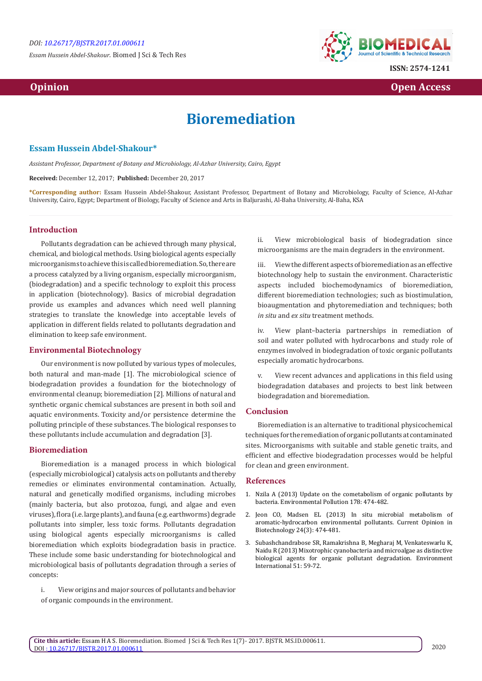*Essam Hussein Abdel-Shakour.* Biomed J Sci & Tech Res



**ISSN: 2574-1241**

 **Opinion Open Access Open Access**  *Open Access* **<b>** *Open Access* 

# **Bioremediation**

# **Essam Hussein Abdel-Shakour\***

*Assistant Professor, Department of Botany and Microbiology, Al-Azhar University, Cairo, Egypt*

**Received:** December 12, 2017; **Published:** December 20, 2017

**\*Corresponding author:** Essam Hussein Abdel-Shakour, Assistant Professor, Department of Botany and Microbiology, Faculty of Science, Al-Azhar University, Cairo, Egypt; Department of Biology, Faculty of Science and Arts in Baljurashi, Al-Baha University, Al-Baha, KSA

### **Introduction**

Pollutants degradation can be achieved through many physical, chemical, and biological methods. Using biological agents especially microorganisms to achieve this is called bioremediation. So, there are a process catalyzed by a living organism, especially microorganism, (biodegradation) and a specific technology to exploit this process in application (biotechnology). Basics of microbial degradation provide us examples and advances which need well planning strategies to translate the knowledge into acceptable levels of application in different fields related to pollutants degradation and elimination to keep safe environment.

#### **Environmental Biotechnology**

Our environment is now polluted by various types of molecules, both natural and man-made [1]. The microbiological science of biodegradation provides a foundation for the biotechnology of environmental cleanup; bioremediation [2]. Millions of natural and synthetic organic chemical substances are present in both soil and aquatic environments. Toxicity and/or persistence determine the polluting principle of these substances. The biological responses to these pollutants include accumulation and degradation [3].

# **Bioremediation**

Bioremediation is a managed process in which biological (especially microbiological) catalysis acts on pollutants and thereby remedies or eliminates environmental contamination. Actually, natural and genetically modified organisms, including microbes (mainly bacteria, but also protozoa, fungi, and algae and even viruses), flora (i.e. large plants), and fauna (e.g. earthworms) degrade pollutants into simpler, less toxic forms. Pollutants degradation using biological agents especially microorganisms is called bioremediation which exploits biodegradation basis in practice. These include some basic understanding for biotechnological and microbiological basis of pollutants degradation through a series of concepts:

i. View origins and major sources of pollutants and behavior of organic compounds in the environment.

ii. View microbiological basis of biodegradation since microorganisms are the main degraders in the environment.

iii. View the different aspects of bioremediation as an effective biotechnology help to sustain the environment. Characteristic aspects included biochemodynamics of bioremediation, different bioremediation technologies; such as biostimulation, bioaugmentation and phytoremediation and techniques; both *in situ* and *ex situ* treatment methods.

iv. View plant–bacteria partnerships in remediation of soil and water polluted with hydrocarbons and study role of enzymes involved in biodegradation of toxic organic pollutants especially aromatic hydrocarbons.

v. View recent advances and applications in this field using biodegradation databases and projects to best link between biodegradation and bioremediation.

# **Conclusion**

Bioremediation is an alternative to traditional physicochemical techniques for the remediation of organic pollutants at contaminated sites. Microorganisms with suitable and stable genetic traits, and efficient and effective biodegradation processes would be helpful for clean and green environment.

#### **References**

- 1. [Nzila A \(2013\) Update on the cometabolism of organic pollutants by](https://www.ncbi.nlm.nih.gov/pubmed/23570949) [bacteria. Environmental Pollution 178: 474-482.](https://www.ncbi.nlm.nih.gov/pubmed/23570949)
- 2. [Jeon CO, Madsen EL \(2013\) In situ microbial metabolism of](https://www.ncbi.nlm.nih.gov/pubmed/22999827) [aromatic-hydrocarbon environmental pollutants. Current Opinion in](https://www.ncbi.nlm.nih.gov/pubmed/22999827) [Biotechnology 24\(3\): 474-481.](https://www.ncbi.nlm.nih.gov/pubmed/22999827)
- 3. [Subashchandrabose SR, Ramakrishna B, Megharaj M, Venkateswarlu K,](http://www.sciencedirect.com/science/article/pii/S0160412012002310) [Naidu R \(2013\) Mixotrophic cyanobacteria and microalgae as distinctive](http://www.sciencedirect.com/science/article/pii/S0160412012002310) [biological agents for organic pollutant degradation. Environment](http://www.sciencedirect.com/science/article/pii/S0160412012002310) [International 51: 59-72.](http://www.sciencedirect.com/science/article/pii/S0160412012002310)